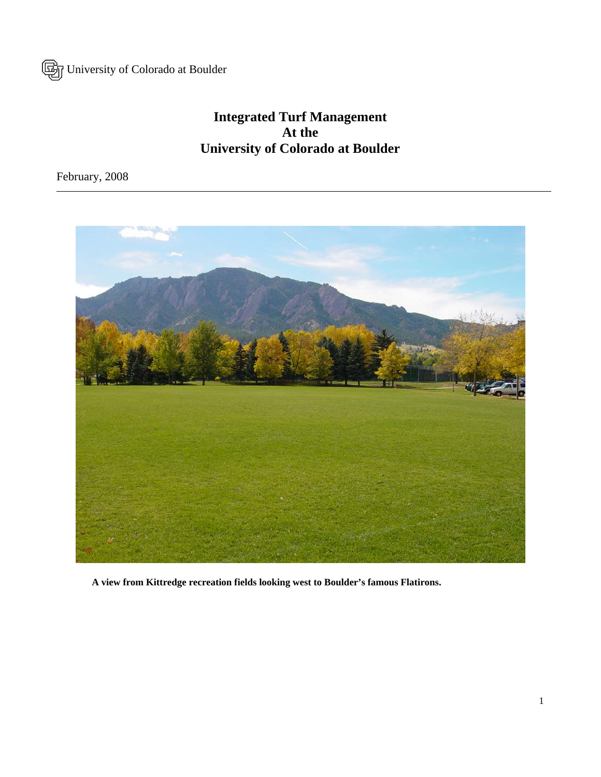University of Colorado at Boulder

# **Integrated Turf Management At the University of Colorado at Boulder**

February, 2008



 **A view from Kittredge recreation fields looking west to Boulder's famous Flatirons.**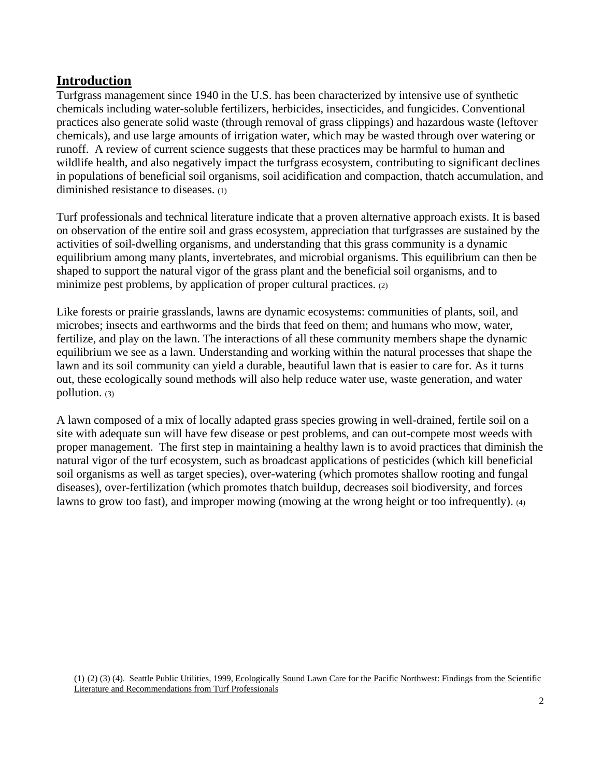### **Introduction**

Turfgrass management since 1940 in the U.S. has been characterized by intensive use of synthetic chemicals including water-soluble fertilizers, herbicides, insecticides, and fungicides. Conventional practices also generate solid waste (through removal of grass clippings) and hazardous waste (leftover chemicals), and use large amounts of irrigation water, which may be wasted through over watering or runoff. A review of current science suggests that these practices may be harmful to human and wildlife health, and also negatively impact the turfgrass ecosystem, contributing to significant declines in populations of beneficial soil organisms, soil acidification and compaction, thatch accumulation, and diminished resistance to diseases. (1)

Turf professionals and technical literature indicate that a proven alternative approach exists. It is based on observation of the entire soil and grass ecosystem, appreciation that turfgrasses are sustained by the activities of soil-dwelling organisms, and understanding that this grass community is a dynamic equilibrium among many plants, invertebrates, and microbial organisms. This equilibrium can then be shaped to support the natural vigor of the grass plant and the beneficial soil organisms, and to minimize pest problems, by application of proper cultural practices. (2)

Like forests or prairie grasslands, lawns are dynamic ecosystems: communities of plants, soil, and microbes; insects and earthworms and the birds that feed on them; and humans who mow, water, fertilize, and play on the lawn. The interactions of all these community members shape the dynamic equilibrium we see as a lawn. Understanding and working within the natural processes that shape the lawn and its soil community can yield a durable, beautiful lawn that is easier to care for. As it turns out, these ecologically sound methods will also help reduce water use, waste generation, and water pollution. (3)

A lawn composed of a mix of locally adapted grass species growing in well-drained, fertile soil on a site with adequate sun will have few disease or pest problems, and can out-compete most weeds with proper management. The first step in maintaining a healthy lawn is to avoid practices that diminish the natural vigor of the turf ecosystem, such as broadcast applications of pesticides (which kill beneficial soil organisms as well as target species), over-watering (which promotes shallow rooting and fungal diseases), over-fertilization (which promotes thatch buildup, decreases soil biodiversity, and forces lawns to grow too fast), and improper mowing (mowing at the wrong height or too infrequently). (4)

(1) (2) (3) (4). Seattle Public Utilities, 1999, Ecologically Sound Lawn Care for the Pacific Northwest: Findings from the Scientific Literature and Recommendations from Turf Professionals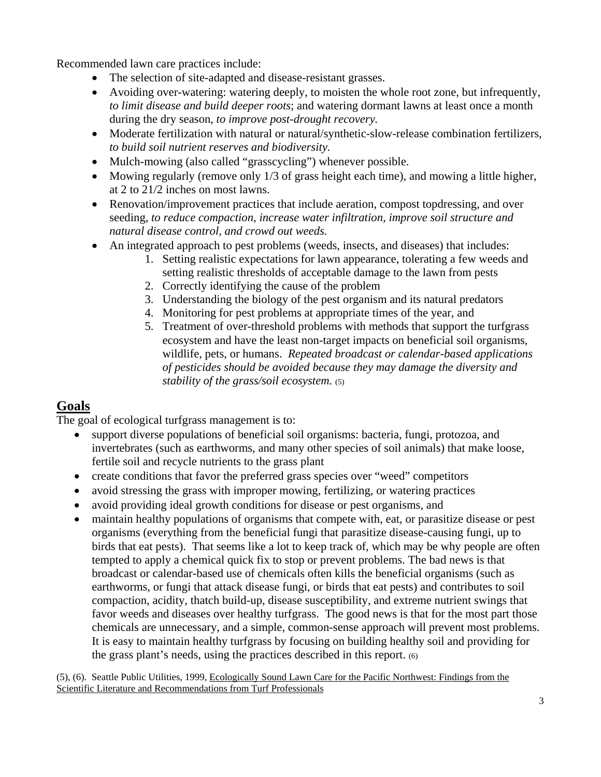Recommended lawn care practices include:

- The selection of site-adapted and disease-resistant grasses.
- Avoiding over-watering: watering deeply, to moisten the whole root zone, but infrequently, *to limit disease and build deeper roots*; and watering dormant lawns at least once a month during the dry season, *to improve post-drought recovery.*
- Moderate fertilization with natural or natural/synthetic-slow-release combination fertilizers, *to build soil nutrient reserves and biodiversity.*
- Mulch-mowing (also called "grasscycling") whenever possible.
- Mowing regularly (remove only 1/3 of grass height each time), and mowing a little higher, at 2 to 21/2 inches on most lawns.
- Renovation/improvement practices that include aeration, compost topdressing, and over seeding, *to reduce compaction, increase water infiltration, improve soil structure and natural disease control, and crowd out weeds.*
- An integrated approach to pest problems (weeds, insects, and diseases) that includes:
	- 1. Setting realistic expectations for lawn appearance, tolerating a few weeds and setting realistic thresholds of acceptable damage to the lawn from pests
	- 2. Correctly identifying the cause of the problem
	- 3. Understanding the biology of the pest organism and its natural predators
	- 4. Monitoring for pest problems at appropriate times of the year, and
	- 5. Treatment of over-threshold problems with methods that support the turfgrass ecosystem and have the least non-target impacts on beneficial soil organisms, wildlife, pets, or humans. *Repeated broadcast or calendar-based applications of pesticides should be avoided because they may damage the diversity and stability of the grass/soil ecosystem.* (5)

### **Goals**

The goal of ecological turfgrass management is to:

- support diverse populations of beneficial soil organisms: bacteria, fungi, protozoa, and invertebrates (such as earthworms, and many other species of soil animals) that make loose, fertile soil and recycle nutrients to the grass plant
- create conditions that favor the preferred grass species over "weed" competitors
- avoid stressing the grass with improper mowing, fertilizing, or watering practices
- avoid providing ideal growth conditions for disease or pest organisms, and
- maintain healthy populations of organisms that compete with, eat, or parasitize disease or pest organisms (everything from the beneficial fungi that parasitize disease-causing fungi, up to birds that eat pests). That seems like a lot to keep track of, which may be why people are often tempted to apply a chemical quick fix to stop or prevent problems. The bad news is that broadcast or calendar-based use of chemicals often kills the beneficial organisms (such as earthworms, or fungi that attack disease fungi, or birds that eat pests) and contributes to soil compaction, acidity, thatch build-up, disease susceptibility, and extreme nutrient swings that favor weeds and diseases over healthy turfgrass. The good news is that for the most part those chemicals are unnecessary, and a simple, common-sense approach will prevent most problems. It is easy to maintain healthy turfgrass by focusing on building healthy soil and providing for the grass plant's needs, using the practices described in this report. (6)

(5), (6). Seattle Public Utilities, 1999, Ecologically Sound Lawn Care for the Pacific Northwest: Findings from the Scientific Literature and Recommendations from Turf Professionals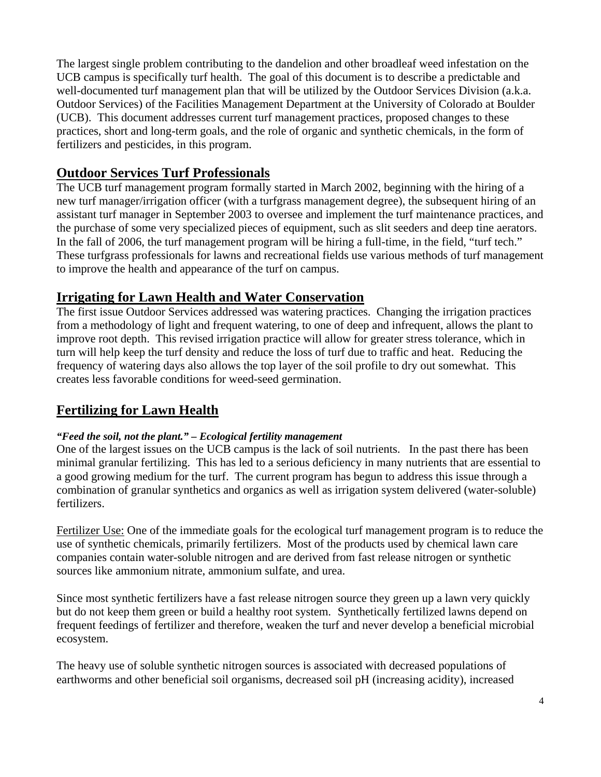The largest single problem contributing to the dandelion and other broadleaf weed infestation on the UCB campus is specifically turf health. The goal of this document is to describe a predictable and well-documented turf management plan that will be utilized by the Outdoor Services Division (a.k.a. Outdoor Services) of the Facilities Management Department at the University of Colorado at Boulder (UCB). This document addresses current turf management practices, proposed changes to these practices, short and long-term goals, and the role of organic and synthetic chemicals, in the form of fertilizers and pesticides, in this program.

### **Outdoor Services Turf Professionals**

The UCB turf management program formally started in March 2002, beginning with the hiring of a new turf manager/irrigation officer (with a turfgrass management degree), the subsequent hiring of an assistant turf manager in September 2003 to oversee and implement the turf maintenance practices, and the purchase of some very specialized pieces of equipment, such as slit seeders and deep tine aerators. In the fall of 2006, the turf management program will be hiring a full-time, in the field, "turf tech." These turfgrass professionals for lawns and recreational fields use various methods of turf management to improve the health and appearance of the turf on campus.

### **Irrigating for Lawn Health and Water Conservation**

The first issue Outdoor Services addressed was watering practices. Changing the irrigation practices from a methodology of light and frequent watering, to one of deep and infrequent, allows the plant to improve root depth. This revised irrigation practice will allow for greater stress tolerance, which in turn will help keep the turf density and reduce the loss of turf due to traffic and heat. Reducing the frequency of watering days also allows the top layer of the soil profile to dry out somewhat. This creates less favorable conditions for weed-seed germination.

# **Fertilizing for Lawn Health**

#### *"Feed the soil, not the plant." – Ecological fertility management*

One of the largest issues on the UCB campus is the lack of soil nutrients. In the past there has been minimal granular fertilizing. This has led to a serious deficiency in many nutrients that are essential to a good growing medium for the turf. The current program has begun to address this issue through a combination of granular synthetics and organics as well as irrigation system delivered (water-soluble) fertilizers.

Fertilizer Use: One of the immediate goals for the ecological turf management program is to reduce the use of synthetic chemicals, primarily fertilizers. Most of the products used by chemical lawn care companies contain water-soluble nitrogen and are derived from fast release nitrogen or synthetic sources like ammonium nitrate, ammonium sulfate, and urea.

Since most synthetic fertilizers have a fast release nitrogen source they green up a lawn very quickly but do not keep them green or build a healthy root system. Synthetically fertilized lawns depend on frequent feedings of fertilizer and therefore, weaken the turf and never develop a beneficial microbial ecosystem.

The heavy use of soluble synthetic nitrogen sources is associated with decreased populations of earthworms and other beneficial soil organisms, decreased soil pH (increasing acidity), increased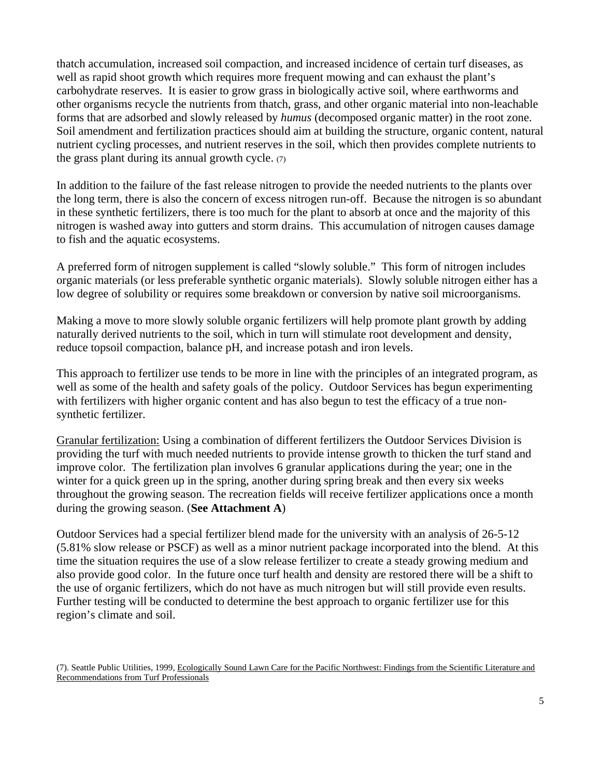thatch accumulation, increased soil compaction, and increased incidence of certain turf diseases, as well as rapid shoot growth which requires more frequent mowing and can exhaust the plant's carbohydrate reserves. It is easier to grow grass in biologically active soil, where earthworms and other organisms recycle the nutrients from thatch, grass, and other organic material into non-leachable forms that are adsorbed and slowly released by *humus* (decomposed organic matter) in the root zone. Soil amendment and fertilization practices should aim at building the structure, organic content, natural nutrient cycling processes, and nutrient reserves in the soil, which then provides complete nutrients to the grass plant during its annual growth cycle.  $(7)$ 

In addition to the failure of the fast release nitrogen to provide the needed nutrients to the plants over the long term, there is also the concern of excess nitrogen run-off. Because the nitrogen is so abundant in these synthetic fertilizers, there is too much for the plant to absorb at once and the majority of this nitrogen is washed away into gutters and storm drains. This accumulation of nitrogen causes damage to fish and the aquatic ecosystems.

A preferred form of nitrogen supplement is called "slowly soluble." This form of nitrogen includes organic materials (or less preferable synthetic organic materials). Slowly soluble nitrogen either has a low degree of solubility or requires some breakdown or conversion by native soil microorganisms.

Making a move to more slowly soluble organic fertilizers will help promote plant growth by adding naturally derived nutrients to the soil, which in turn will stimulate root development and density, reduce topsoil compaction, balance pH, and increase potash and iron levels.

This approach to fertilizer use tends to be more in line with the principles of an integrated program, as well as some of the health and safety goals of the policy. Outdoor Services has begun experimenting with fertilizers with higher organic content and has also begun to test the efficacy of a true nonsynthetic fertilizer.

Granular fertilization: Using a combination of different fertilizers the Outdoor Services Division is providing the turf with much needed nutrients to provide intense growth to thicken the turf stand and improve color. The fertilization plan involves 6 granular applications during the year; one in the winter for a quick green up in the spring, another during spring break and then every six weeks throughout the growing season. The recreation fields will receive fertilizer applications once a month during the growing season. (**See Attachment A**)

Outdoor Services had a special fertilizer blend made for the university with an analysis of 26-5-12 (5.81% slow release or PSCF) as well as a minor nutrient package incorporated into the blend. At this time the situation requires the use of a slow release fertilizer to create a steady growing medium and also provide good color. In the future once turf health and density are restored there will be a shift to the use of organic fertilizers, which do not have as much nitrogen but will still provide even results. Further testing will be conducted to determine the best approach to organic fertilizer use for this region's climate and soil.

<sup>(7).</sup> Seattle Public Utilities, 1999, Ecologically Sound Lawn Care for the Pacific Northwest: Findings from the Scientific Literature and Recommendations from Turf Professionals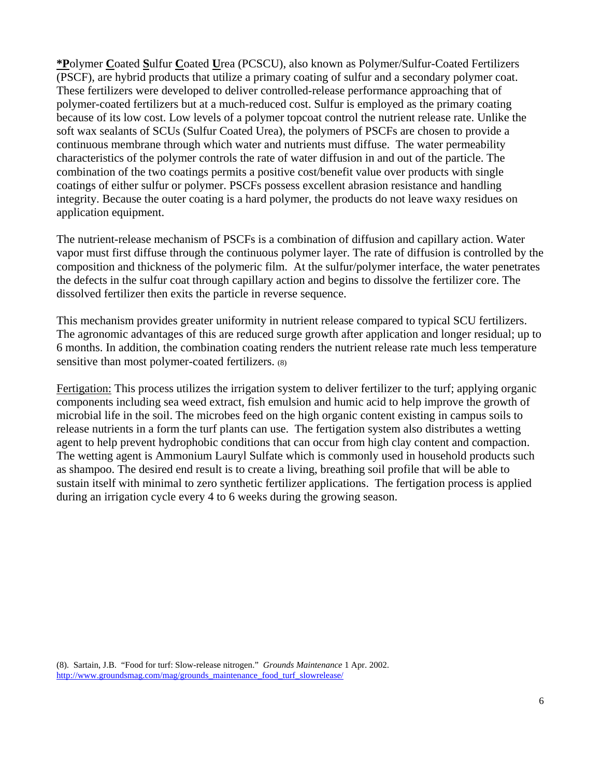**\*P**olymer **C**oated **S**ulfur **C**oated **U**rea (PCSCU), also known as Polymer/Sulfur-Coated Fertilizers (PSCF), are hybrid products that utilize a primary coating of sulfur and a secondary polymer coat. These fertilizers were developed to deliver controlled-release performance approaching that of polymer-coated fertilizers but at a much-reduced cost. Sulfur is employed as the primary coating because of its low cost. Low levels of a polymer topcoat control the nutrient release rate. Unlike the soft wax sealants of SCUs (Sulfur Coated Urea), the polymers of PSCFs are chosen to provide a continuous membrane through which water and nutrients must diffuse. The water permeability characteristics of the polymer controls the rate of water diffusion in and out of the particle. The combination of the two coatings permits a positive cost/benefit value over products with single coatings of either sulfur or polymer. PSCFs possess excellent abrasion resistance and handling integrity. Because the outer coating is a hard polymer, the products do not leave waxy residues on application equipment.

The nutrient-release mechanism of PSCFs is a combination of diffusion and capillary action. Water vapor must first diffuse through the continuous polymer layer. The rate of diffusion is controlled by the composition and thickness of the polymeric film. At the sulfur/polymer interface, the water penetrates the defects in the sulfur coat through capillary action and begins to dissolve the fertilizer core. The dissolved fertilizer then exits the particle in reverse sequence.

This mechanism provides greater uniformity in nutrient release compared to typical SCU fertilizers. The agronomic advantages of this are reduced surge growth after application and longer residual; up to 6 months. In addition, the combination coating renders the nutrient release rate much less temperature sensitive than most polymer-coated fertilizers. (8)

Fertigation: This process utilizes the irrigation system to deliver fertilizer to the turf; applying organic components including sea weed extract, fish emulsion and humic acid to help improve the growth of microbial life in the soil. The microbes feed on the high organic content existing in campus soils to release nutrients in a form the turf plants can use. The fertigation system also distributes a wetting agent to help prevent hydrophobic conditions that can occur from high clay content and compaction. The wetting agent is Ammonium Lauryl Sulfate which is commonly used in household products such as shampoo. The desired end result is to create a living, breathing soil profile that will be able to sustain itself with minimal to zero synthetic fertilizer applications. The fertigation process is applied during an irrigation cycle every 4 to 6 weeks during the growing season.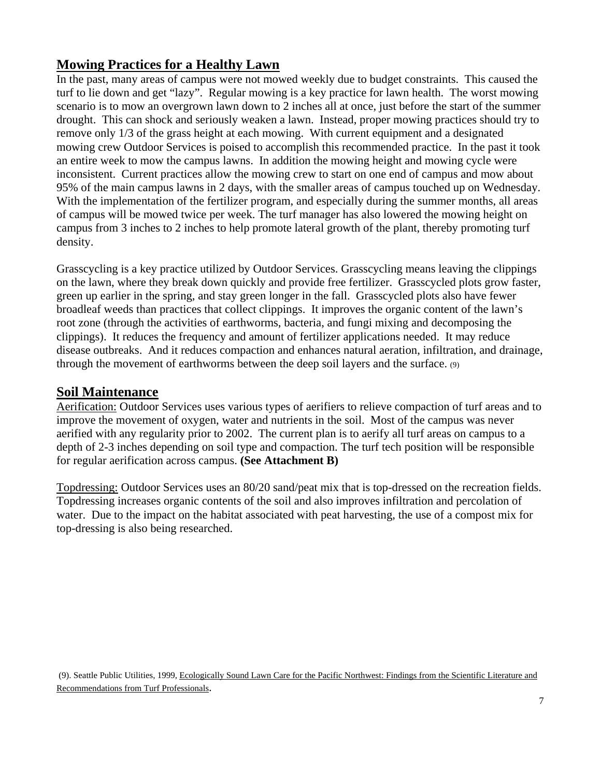### **Mowing Practices for a Healthy Lawn**

In the past, many areas of campus were not mowed weekly due to budget constraints. This caused the turf to lie down and get "lazy". Regular mowing is a key practice for lawn health. The worst mowing scenario is to mow an overgrown lawn down to 2 inches all at once, just before the start of the summer drought. This can shock and seriously weaken a lawn. Instead, proper mowing practices should try to remove only 1/3 of the grass height at each mowing. With current equipment and a designated mowing crew Outdoor Services is poised to accomplish this recommended practice. In the past it took an entire week to mow the campus lawns. In addition the mowing height and mowing cycle were inconsistent. Current practices allow the mowing crew to start on one end of campus and mow about 95% of the main campus lawns in 2 days, with the smaller areas of campus touched up on Wednesday. With the implementation of the fertilizer program, and especially during the summer months, all areas of campus will be mowed twice per week. The turf manager has also lowered the mowing height on campus from 3 inches to 2 inches to help promote lateral growth of the plant, thereby promoting turf density.

Grasscycling is a key practice utilized by Outdoor Services. Grasscycling means leaving the clippings on the lawn, where they break down quickly and provide free fertilizer. Grasscycled plots grow faster, green up earlier in the spring, and stay green longer in the fall. Grasscycled plots also have fewer broadleaf weeds than practices that collect clippings. It improves the organic content of the lawn's root zone (through the activities of earthworms, bacteria, and fungi mixing and decomposing the clippings). It reduces the frequency and amount of fertilizer applications needed. It may reduce disease outbreaks. And it reduces compaction and enhances natural aeration, infiltration, and drainage, through the movement of earthworms between the deep soil layers and the surface. (9)

### **Soil Maintenance**

Aerification: Outdoor Services uses various types of aerifiers to relieve compaction of turf areas and to improve the movement of oxygen, water and nutrients in the soil. Most of the campus was never aerified with any regularity prior to 2002. The current plan is to aerify all turf areas on campus to a depth of 2-3 inches depending on soil type and compaction. The turf tech position will be responsible for regular aerification across campus. **(See Attachment B)** 

Topdressing: Outdoor Services uses an 80/20 sand/peat mix that is top-dressed on the recreation fields. Topdressing increases organic contents of the soil and also improves infiltration and percolation of water. Due to the impact on the habitat associated with peat harvesting, the use of a compost mix for top-dressing is also being researched.

 (9). Seattle Public Utilities, 1999, Ecologically Sound Lawn Care for the Pacific Northwest: Findings from the Scientific Literature and Recommendations from Turf Professionals.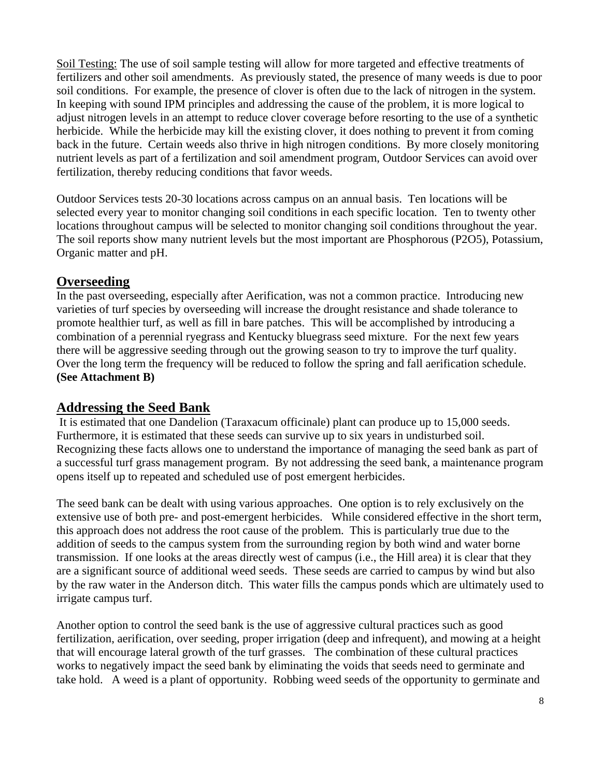Soil Testing: The use of soil sample testing will allow for more targeted and effective treatments of fertilizers and other soil amendments. As previously stated, the presence of many weeds is due to poor soil conditions. For example, the presence of clover is often due to the lack of nitrogen in the system. In keeping with sound IPM principles and addressing the cause of the problem, it is more logical to adjust nitrogen levels in an attempt to reduce clover coverage before resorting to the use of a synthetic herbicide. While the herbicide may kill the existing clover, it does nothing to prevent it from coming back in the future. Certain weeds also thrive in high nitrogen conditions. By more closely monitoring nutrient levels as part of a fertilization and soil amendment program, Outdoor Services can avoid over fertilization, thereby reducing conditions that favor weeds.

Outdoor Services tests 20-30 locations across campus on an annual basis. Ten locations will be selected every year to monitor changing soil conditions in each specific location. Ten to twenty other locations throughout campus will be selected to monitor changing soil conditions throughout the year. The soil reports show many nutrient levels but the most important are Phosphorous (P2O5), Potassium, Organic matter and pH.

### **Overseeding**

In the past overseeding, especially after Aerification, was not a common practice. Introducing new varieties of turf species by overseeding will increase the drought resistance and shade tolerance to promote healthier turf, as well as fill in bare patches. This will be accomplished by introducing a combination of a perennial ryegrass and Kentucky bluegrass seed mixture. For the next few years there will be aggressive seeding through out the growing season to try to improve the turf quality. Over the long term the frequency will be reduced to follow the spring and fall aerification schedule. **(See Attachment B)** 

### **Addressing the Seed Bank**

 It is estimated that one Dandelion (Taraxacum officinale) plant can produce up to 15,000 seeds. Furthermore, it is estimated that these seeds can survive up to six years in undisturbed soil. Recognizing these facts allows one to understand the importance of managing the seed bank as part of a successful turf grass management program. By not addressing the seed bank, a maintenance program opens itself up to repeated and scheduled use of post emergent herbicides.

The seed bank can be dealt with using various approaches. One option is to rely exclusively on the extensive use of both pre- and post-emergent herbicides. While considered effective in the short term, this approach does not address the root cause of the problem. This is particularly true due to the addition of seeds to the campus system from the surrounding region by both wind and water borne transmission. If one looks at the areas directly west of campus (i.e., the Hill area) it is clear that they are a significant source of additional weed seeds. These seeds are carried to campus by wind but also by the raw water in the Anderson ditch. This water fills the campus ponds which are ultimately used to irrigate campus turf.

Another option to control the seed bank is the use of aggressive cultural practices such as good fertilization, aerification, over seeding, proper irrigation (deep and infrequent), and mowing at a height that will encourage lateral growth of the turf grasses. The combination of these cultural practices works to negatively impact the seed bank by eliminating the voids that seeds need to germinate and take hold. A weed is a plant of opportunity. Robbing weed seeds of the opportunity to germinate and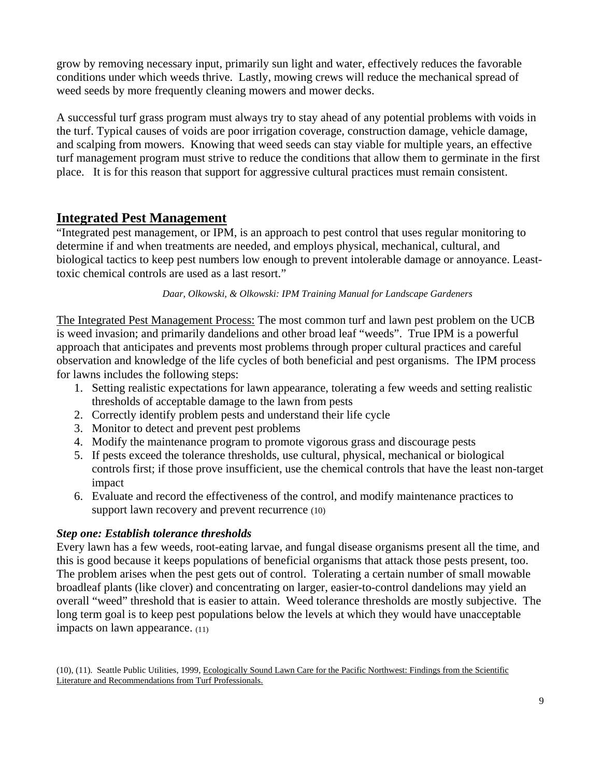grow by removing necessary input, primarily sun light and water, effectively reduces the favorable conditions under which weeds thrive. Lastly, mowing crews will reduce the mechanical spread of weed seeds by more frequently cleaning mowers and mower decks.

A successful turf grass program must always try to stay ahead of any potential problems with voids in the turf. Typical causes of voids are poor irrigation coverage, construction damage, vehicle damage, and scalping from mowers. Knowing that weed seeds can stay viable for multiple years, an effective turf management program must strive to reduce the conditions that allow them to germinate in the first place. It is for this reason that support for aggressive cultural practices must remain consistent.

### **Integrated Pest Management**

"Integrated pest management, or IPM, is an approach to pest control that uses regular monitoring to determine if and when treatments are needed, and employs physical, mechanical, cultural, and biological tactics to keep pest numbers low enough to prevent intolerable damage or annoyance. Leasttoxic chemical controls are used as a last resort."

#### *Daar, Olkowski, & Olkowski: IPM Training Manual for Landscape Gardeners*

The Integrated Pest Management Process: The most common turf and lawn pest problem on the UCB is weed invasion; and primarily dandelions and other broad leaf "weeds". True IPM is a powerful approach that anticipates and prevents most problems through proper cultural practices and careful observation and knowledge of the life cycles of both beneficial and pest organisms. The IPM process for lawns includes the following steps:

- 1. Setting realistic expectations for lawn appearance, tolerating a few weeds and setting realistic thresholds of acceptable damage to the lawn from pests
- 2. Correctly identify problem pests and understand their life cycle
- 3. Monitor to detect and prevent pest problems
- 4. Modify the maintenance program to promote vigorous grass and discourage pests
- 5. If pests exceed the tolerance thresholds, use cultural, physical, mechanical or biological controls first; if those prove insufficient, use the chemical controls that have the least non-target impact
- 6. Evaluate and record the effectiveness of the control, and modify maintenance practices to support lawn recovery and prevent recurrence (10)

#### *Step one: Establish tolerance thresholds*

Every lawn has a few weeds, root-eating larvae, and fungal disease organisms present all the time, and this is good because it keeps populations of beneficial organisms that attack those pests present, too. The problem arises when the pest gets out of control. Tolerating a certain number of small mowable broadleaf plants (like clover) and concentrating on larger, easier-to-control dandelions may yield an overall "weed" threshold that is easier to attain. Weed tolerance thresholds are mostly subjective. The long term goal is to keep pest populations below the levels at which they would have unacceptable impacts on lawn appearance. (11)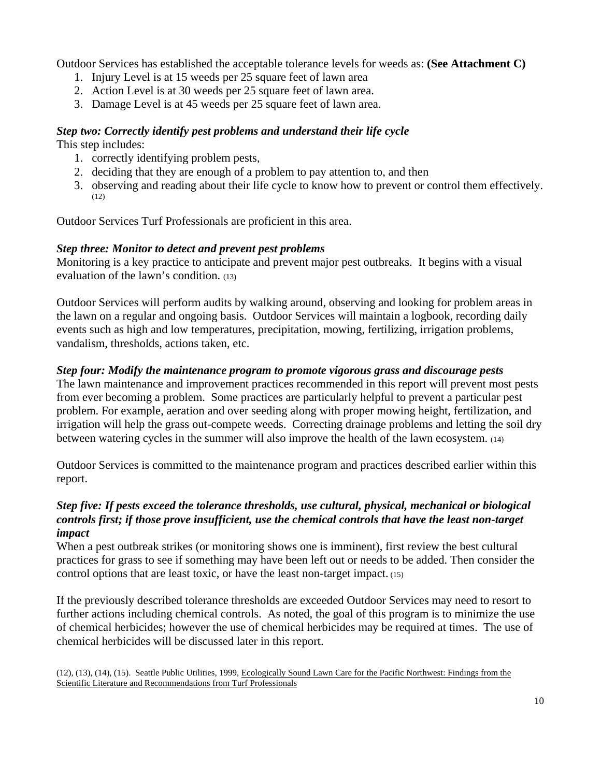Outdoor Services has established the acceptable tolerance levels for weeds as: **(See Attachment C)**

- 1. Injury Level is at 15 weeds per 25 square feet of lawn area
- 2. Action Level is at 30 weeds per 25 square feet of lawn area.
- 3. Damage Level is at 45 weeds per 25 square feet of lawn area.

#### *Step two: Correctly identify pest problems and understand their life cycle*  This step includes:

- 1. correctly identifying problem pests,
- 2. deciding that they are enough of a problem to pay attention to, and then
- 3. observing and reading about their life cycle to know how to prevent or control them effectively. (12)

Outdoor Services Turf Professionals are proficient in this area.

### *Step three: Monitor to detect and prevent pest problems*

Monitoring is a key practice to anticipate and prevent major pest outbreaks. It begins with a visual evaluation of the lawn's condition. (13)

Outdoor Services will perform audits by walking around, observing and looking for problem areas in the lawn on a regular and ongoing basis. Outdoor Services will maintain a logbook, recording daily events such as high and low temperatures, precipitation, mowing, fertilizing, irrigation problems, vandalism, thresholds, actions taken, etc.

### *Step four: Modify the maintenance program to promote vigorous grass and discourage pests*

The lawn maintenance and improvement practices recommended in this report will prevent most pests from ever becoming a problem. Some practices are particularly helpful to prevent a particular pest problem. For example, aeration and over seeding along with proper mowing height, fertilization, and irrigation will help the grass out-compete weeds. Correcting drainage problems and letting the soil dry between watering cycles in the summer will also improve the health of the lawn ecosystem. (14)

Outdoor Services is committed to the maintenance program and practices described earlier within this report.

#### *Step five: If pests exceed the tolerance thresholds, use cultural, physical, mechanical or biological controls first; if those prove insufficient, use the chemical controls that have the least non-target impact*

When a pest outbreak strikes (or monitoring shows one is imminent), first review the best cultural practices for grass to see if something may have been left out or needs to be added. Then consider the control options that are least toxic, or have the least non-target impact. (15)

If the previously described tolerance thresholds are exceeded Outdoor Services may need to resort to further actions including chemical controls. As noted, the goal of this program is to minimize the use of chemical herbicides; however the use of chemical herbicides may be required at times. The use of chemical herbicides will be discussed later in this report.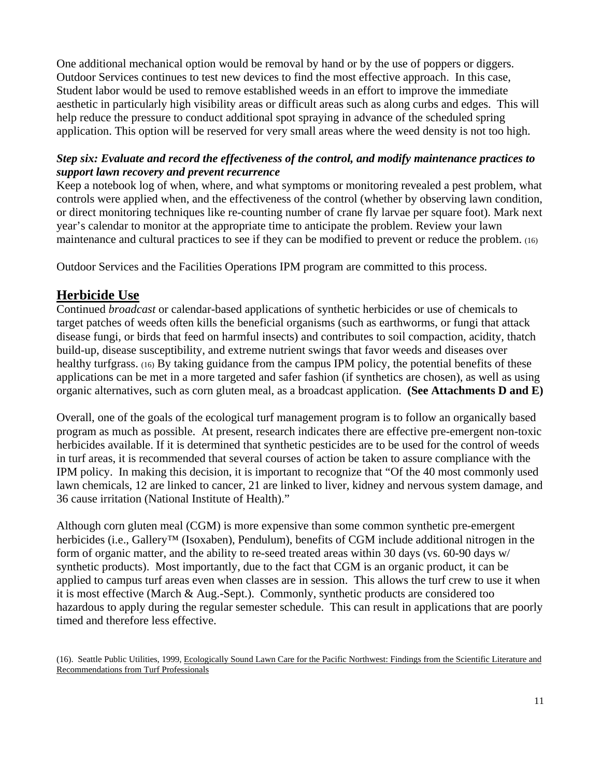One additional mechanical option would be removal by hand or by the use of poppers or diggers. Outdoor Services continues to test new devices to find the most effective approach. In this case, Student labor would be used to remove established weeds in an effort to improve the immediate aesthetic in particularly high visibility areas or difficult areas such as along curbs and edges. This will help reduce the pressure to conduct additional spot spraying in advance of the scheduled spring application. This option will be reserved for very small areas where the weed density is not too high.

### *Step six: Evaluate and record the effectiveness of the control, and modify maintenance practices to support lawn recovery and prevent recurrence*

Keep a notebook log of when, where, and what symptoms or monitoring revealed a pest problem, what controls were applied when, and the effectiveness of the control (whether by observing lawn condition, or direct monitoring techniques like re-counting number of crane fly larvae per square foot). Mark next year's calendar to monitor at the appropriate time to anticipate the problem. Review your lawn maintenance and cultural practices to see if they can be modified to prevent or reduce the problem. (16)

Outdoor Services and the Facilities Operations IPM program are committed to this process.

### **Herbicide Use**

Continued *broadcast* or calendar-based applications of synthetic herbicides or use of chemicals to target patches of weeds often kills the beneficial organisms (such as earthworms, or fungi that attack disease fungi, or birds that feed on harmful insects) and contributes to soil compaction, acidity, thatch build-up, disease susceptibility, and extreme nutrient swings that favor weeds and diseases over healthy turfgrass. (16) By taking guidance from the campus IPM policy, the potential benefits of these applications can be met in a more targeted and safer fashion (if synthetics are chosen), as well as using organic alternatives, such as corn gluten meal, as a broadcast application. **(See Attachments D and E)**

Overall, one of the goals of the ecological turf management program is to follow an organically based program as much as possible. At present, research indicates there are effective pre-emergent non-toxic herbicides available. If it is determined that synthetic pesticides are to be used for the control of weeds in turf areas, it is recommended that several courses of action be taken to assure compliance with the IPM policy. In making this decision, it is important to recognize that "Of the 40 most commonly used lawn chemicals, 12 are linked to cancer, 21 are linked to liver, kidney and nervous system damage, and 36 cause irritation (National Institute of Health)."

Although corn gluten meal (CGM) is more expensive than some common synthetic pre-emergent herbicides (i.e., Gallery™ (Isoxaben), Pendulum), benefits of CGM include additional nitrogen in the form of organic matter, and the ability to re-seed treated areas within 30 days (vs. 60-90 days w/ synthetic products). Most importantly, due to the fact that CGM is an organic product, it can be applied to campus turf areas even when classes are in session. This allows the turf crew to use it when it is most effective (March & Aug.-Sept.). Commonly, synthetic products are considered too hazardous to apply during the regular semester schedule. This can result in applications that are poorly timed and therefore less effective.

(16). Seattle Public Utilities, 1999, Ecologically Sound Lawn Care for the Pacific Northwest: Findings from the Scientific Literature and Recommendations from Turf Professionals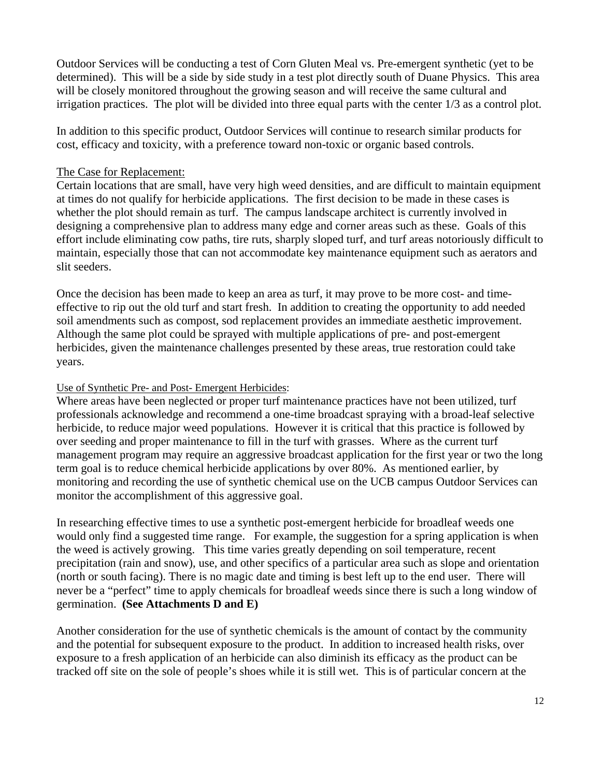Outdoor Services will be conducting a test of Corn Gluten Meal vs. Pre-emergent synthetic (yet to be determined). This will be a side by side study in a test plot directly south of Duane Physics. This area will be closely monitored throughout the growing season and will receive the same cultural and irrigation practices. The plot will be divided into three equal parts with the center 1/3 as a control plot.

In addition to this specific product, Outdoor Services will continue to research similar products for cost, efficacy and toxicity, with a preference toward non-toxic or organic based controls.

#### The Case for Replacement:

Certain locations that are small, have very high weed densities, and are difficult to maintain equipment at times do not qualify for herbicide applications. The first decision to be made in these cases is whether the plot should remain as turf. The campus landscape architect is currently involved in designing a comprehensive plan to address many edge and corner areas such as these. Goals of this effort include eliminating cow paths, tire ruts, sharply sloped turf, and turf areas notoriously difficult to maintain, especially those that can not accommodate key maintenance equipment such as aerators and slit seeders.

Once the decision has been made to keep an area as turf, it may prove to be more cost- and timeeffective to rip out the old turf and start fresh. In addition to creating the opportunity to add needed soil amendments such as compost, sod replacement provides an immediate aesthetic improvement. Although the same plot could be sprayed with multiple applications of pre- and post-emergent herbicides, given the maintenance challenges presented by these areas, true restoration could take years.

#### Use of Synthetic Pre- and Post- Emergent Herbicides:

Where areas have been neglected or proper turf maintenance practices have not been utilized, turf professionals acknowledge and recommend a one-time broadcast spraying with a broad-leaf selective herbicide, to reduce major weed populations. However it is critical that this practice is followed by over seeding and proper maintenance to fill in the turf with grasses. Where as the current turf management program may require an aggressive broadcast application for the first year or two the long term goal is to reduce chemical herbicide applications by over 80%. As mentioned earlier, by monitoring and recording the use of synthetic chemical use on the UCB campus Outdoor Services can monitor the accomplishment of this aggressive goal.

In researching effective times to use a synthetic post-emergent herbicide for broadleaf weeds one would only find a suggested time range. For example, the suggestion for a spring application is when the weed is actively growing. This time varies greatly depending on soil temperature, recent precipitation (rain and snow), use, and other specifics of a particular area such as slope and orientation (north or south facing). There is no magic date and timing is best left up to the end user. There will never be a "perfect" time to apply chemicals for broadleaf weeds since there is such a long window of germination. **(See Attachments D and E)** 

Another consideration for the use of synthetic chemicals is the amount of contact by the community and the potential for subsequent exposure to the product. In addition to increased health risks, over exposure to a fresh application of an herbicide can also diminish its efficacy as the product can be tracked off site on the sole of people's shoes while it is still wet. This is of particular concern at the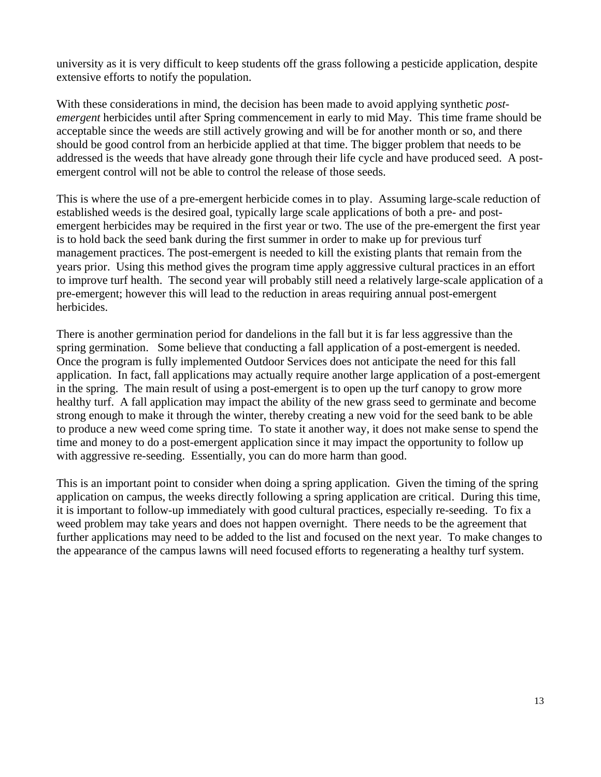university as it is very difficult to keep students off the grass following a pesticide application, despite extensive efforts to notify the population.

With these considerations in mind, the decision has been made to avoid applying synthetic *postemergent* herbicides until after Spring commencement in early to mid May. This time frame should be acceptable since the weeds are still actively growing and will be for another month or so, and there should be good control from an herbicide applied at that time. The bigger problem that needs to be addressed is the weeds that have already gone through their life cycle and have produced seed. A postemergent control will not be able to control the release of those seeds.

This is where the use of a pre-emergent herbicide comes in to play. Assuming large-scale reduction of established weeds is the desired goal, typically large scale applications of both a pre- and postemergent herbicides may be required in the first year or two. The use of the pre-emergent the first year is to hold back the seed bank during the first summer in order to make up for previous turf management practices. The post-emergent is needed to kill the existing plants that remain from the years prior. Using this method gives the program time apply aggressive cultural practices in an effort to improve turf health. The second year will probably still need a relatively large-scale application of a pre-emergent; however this will lead to the reduction in areas requiring annual post-emergent herbicides.

There is another germination period for dandelions in the fall but it is far less aggressive than the spring germination. Some believe that conducting a fall application of a post-emergent is needed. Once the program is fully implemented Outdoor Services does not anticipate the need for this fall application. In fact, fall applications may actually require another large application of a post-emergent in the spring. The main result of using a post-emergent is to open up the turf canopy to grow more healthy turf. A fall application may impact the ability of the new grass seed to germinate and become strong enough to make it through the winter, thereby creating a new void for the seed bank to be able to produce a new weed come spring time. To state it another way, it does not make sense to spend the time and money to do a post-emergent application since it may impact the opportunity to follow up with aggressive re-seeding. Essentially, you can do more harm than good.

This is an important point to consider when doing a spring application. Given the timing of the spring application on campus, the weeks directly following a spring application are critical. During this time, it is important to follow-up immediately with good cultural practices, especially re-seeding. To fix a weed problem may take years and does not happen overnight. There needs to be the agreement that further applications may need to be added to the list and focused on the next year. To make changes to the appearance of the campus lawns will need focused efforts to regenerating a healthy turf system.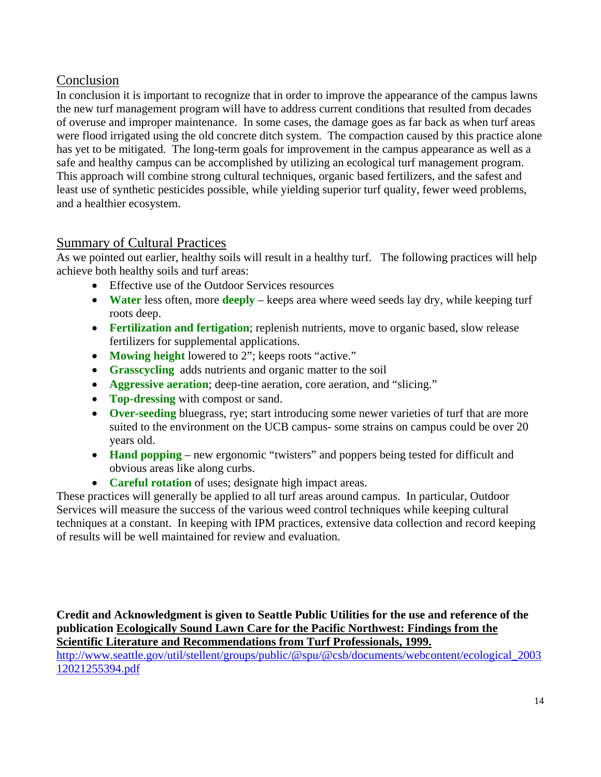## Conclusion

In conclusion it is important to recognize that in order to improve the appearance of the campus lawns the new turf management program will have to address current conditions that resulted from decades of overuse and improper maintenance. In some cases, the damage goes as far back as when turf areas were flood irrigated using the old concrete ditch system. The compaction caused by this practice alone has yet to be mitigated. The long-term goals for improvement in the campus appearance as well as a safe and healthy campus can be accomplished by utilizing an ecological turf management program. This approach will combine strong cultural techniques, organic based fertilizers, and the safest and least use of synthetic pesticides possible, while yielding superior turf quality, fewer weed problems, and a healthier ecosystem.

### Summary of Cultural Practices

As we pointed out earlier, healthy soils will result in a healthy turf. The following practices will help achieve both healthy soils and turf areas:

- Effective use of the Outdoor Services resources
- **Water** less often, more **deeply** keeps area where weed seeds lay dry, while keeping turf roots deep.
- **Fertilization and fertigation**; replenish nutrients, move to organic based, slow release fertilizers for supplemental applications.
- **Mowing height** lowered to 2"; keeps roots "active."
- **Grasscycling** adds nutrients and organic matter to the soil
- **Aggressive aeration**; deep-tine aeration, core aeration, and "slicing."
- **Top-dressing** with compost or sand.
- **Over-seeding** bluegrass, rye; start introducing some newer varieties of turf that are more suited to the environment on the UCB campus- some strains on campus could be over 20 years old.
- **Hand popping** new ergonomic "twisters" and poppers being tested for difficult and obvious areas like along curbs.
- **Careful rotation** of uses; designate high impact areas.

These practices will generally be applied to all turf areas around campus. In particular, Outdoor Services will measure the success of the various weed control techniques while keeping cultural techniques at a constant. In keeping with IPM practices, extensive data collection and record keeping of results will be well maintained for review and evaluation.

**Credit and Acknowledgment is given to Seattle Public Utilities for the use and reference of the publication Ecologically Sound Lawn Care for the Pacific Northwest: Findings from the Scientific Literature and Recommendations from Turf Professionals, 1999.**

http://www.seattle.gov/util/stellent/groups/public/@spu/@csb/documents/webcontent/ecological\_2003 12021255394.pdf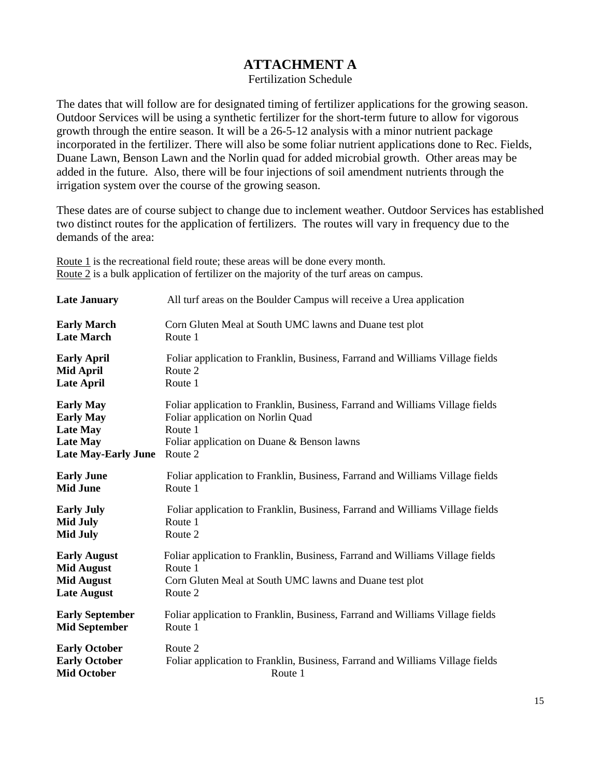### **ATTACHMENT A**

Fertilization Schedule

The dates that will follow are for designated timing of fertilizer applications for the growing season. Outdoor Services will be using a synthetic fertilizer for the short-term future to allow for vigorous growth through the entire season. It will be a 26-5-12 analysis with a minor nutrient package incorporated in the fertilizer. There will also be some foliar nutrient applications done to Rec. Fields, Duane Lawn, Benson Lawn and the Norlin quad for added microbial growth. Other areas may be added in the future. Also, there will be four injections of soil amendment nutrients through the irrigation system over the course of the growing season.

These dates are of course subject to change due to inclement weather. Outdoor Services has established two distinct routes for the application of fertilizers. The routes will vary in frequency due to the demands of the area:

Route 1 is the recreational field route; these areas will be done every month. Route 2 is a bulk application of fertilizer on the majority of the turf areas on campus.

| <b>Late January</b>        | All turf areas on the Boulder Campus will receive a Urea application          |  |  |  |
|----------------------------|-------------------------------------------------------------------------------|--|--|--|
| <b>Early March</b>         | Corn Gluten Meal at South UMC lawns and Duane test plot                       |  |  |  |
| <b>Late March</b>          | Route 1                                                                       |  |  |  |
| <b>Early April</b>         | Foliar application to Franklin, Business, Farrand and Williams Village fields |  |  |  |
| <b>Mid April</b>           | Route 2                                                                       |  |  |  |
| <b>Late April</b>          | Route 1                                                                       |  |  |  |
| <b>Early May</b>           | Foliar application to Franklin, Business, Farrand and Williams Village fields |  |  |  |
| <b>Early May</b>           | Foliar application on Norlin Quad                                             |  |  |  |
| <b>Late May</b>            | Route 1                                                                       |  |  |  |
| <b>Late May</b>            | Foliar application on Duane & Benson lawns                                    |  |  |  |
| <b>Late May-Early June</b> | Route 2                                                                       |  |  |  |
| <b>Early June</b>          | Foliar application to Franklin, Business, Farrand and Williams Village fields |  |  |  |
| <b>Mid June</b>            | Route 1                                                                       |  |  |  |
| <b>Early July</b>          | Foliar application to Franklin, Business, Farrand and Williams Village fields |  |  |  |
| <b>Mid July</b>            | Route 1                                                                       |  |  |  |
| <b>Mid July</b>            | Route 2                                                                       |  |  |  |
| <b>Early August</b>        | Foliar application to Franklin, Business, Farrand and Williams Village fields |  |  |  |
| <b>Mid August</b>          | Route 1                                                                       |  |  |  |
| <b>Mid August</b>          | Corn Gluten Meal at South UMC lawns and Duane test plot                       |  |  |  |
| <b>Late August</b>         | Route 2                                                                       |  |  |  |
| <b>Early September</b>     | Foliar application to Franklin, Business, Farrand and Williams Village fields |  |  |  |
| <b>Mid September</b>       | Route 1                                                                       |  |  |  |
| <b>Early October</b>       | Route 2                                                                       |  |  |  |
| <b>Early October</b>       | Foliar application to Franklin, Business, Farrand and Williams Village fields |  |  |  |
| <b>Mid October</b>         | Route 1                                                                       |  |  |  |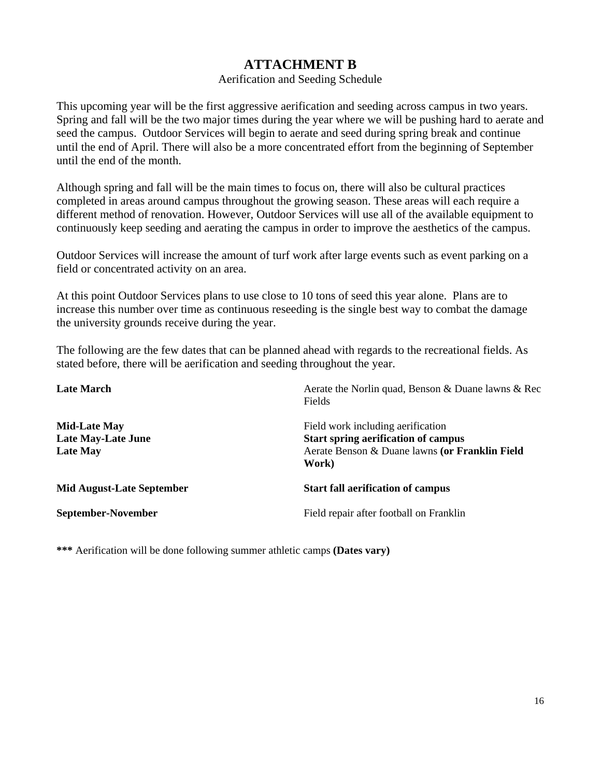### **ATTACHMENT B**

#### Aerification and Seeding Schedule

This upcoming year will be the first aggressive aerification and seeding across campus in two years. Spring and fall will be the two major times during the year where we will be pushing hard to aerate and seed the campus. Outdoor Services will begin to aerate and seed during spring break and continue until the end of April. There will also be a more concentrated effort from the beginning of September until the end of the month.

Although spring and fall will be the main times to focus on, there will also be cultural practices completed in areas around campus throughout the growing season. These areas will each require a different method of renovation. However, Outdoor Services will use all of the available equipment to continuously keep seeding and aerating the campus in order to improve the aesthetics of the campus.

Outdoor Services will increase the amount of turf work after large events such as event parking on a field or concentrated activity on an area.

At this point Outdoor Services plans to use close to 10 tons of seed this year alone. Plans are to increase this number over time as continuous reseeding is the single best way to combat the damage the university grounds receive during the year.

The following are the few dates that can be planned ahead with regards to the recreational fields. As stated before, there will be aerification and seeding throughout the year.

| <b>Late March</b>                                                   | Aerate the Norlin quad, Benson & Duane lawns & Rec<br>Fields                                                                               |
|---------------------------------------------------------------------|--------------------------------------------------------------------------------------------------------------------------------------------|
| <b>Mid-Late May</b><br><b>Late May-Late June</b><br><b>Late May</b> | Field work including aerification<br><b>Start spring aerification of campus</b><br>Aerate Benson & Duane lawns (or Franklin Field<br>Work) |
| <b>Mid August-Late September</b>                                    | <b>Start fall aerification of campus</b>                                                                                                   |
| September-November                                                  | Field repair after football on Franklin                                                                                                    |

**\*\*\*** Aerification will be done following summer athletic camps **(Dates vary)**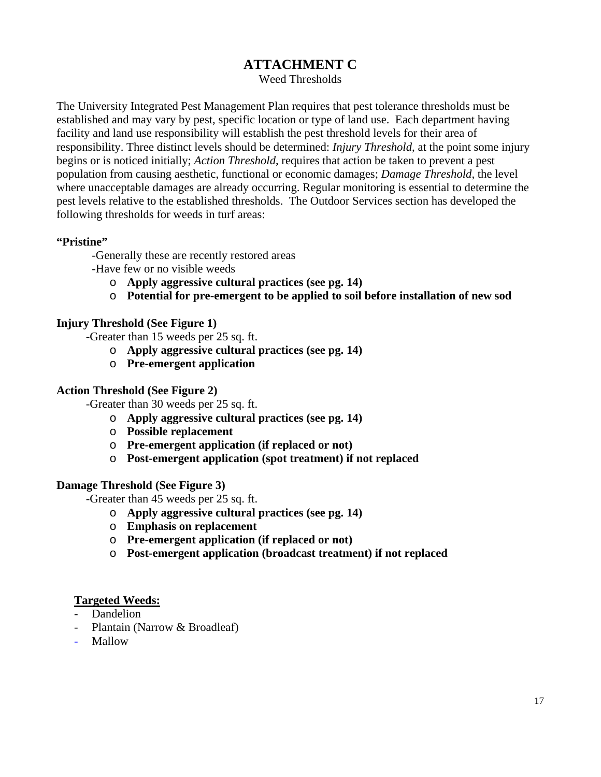### **ATTACHMENT C**

Weed Thresholds

The University Integrated Pest Management Plan requires that pest tolerance thresholds must be established and may vary by pest, specific location or type of land use. Each department having facility and land use responsibility will establish the pest threshold levels for their area of responsibility. Three distinct levels should be determined: *Injury Threshold*, at the point some injury begins or is noticed initially; *Action Threshold*, requires that action be taken to prevent a pest population from causing aesthetic, functional or economic damages; *Damage Threshold*, the level where unacceptable damages are already occurring. Regular monitoring is essential to determine the pest levels relative to the established thresholds. The Outdoor Services section has developed the following thresholds for weeds in turf areas:

#### **"Pristine"**

-Generally these are recently restored areas

-Have few or no visible weeds

- o **Apply aggressive cultural practices (see pg. 14)**
- o **Potential for pre-emergent to be applied to soil before installation of new sod**

#### **Injury Threshold (See Figure 1)**

-Greater than 15 weeds per 25 sq. ft.

- o **Apply aggressive cultural practices (see pg. 14)**
- o **Pre-emergent application**

#### **Action Threshold (See Figure 2)**

-Greater than 30 weeds per 25 sq. ft.

- o **Apply aggressive cultural practices (see pg. 14)**
- o **Possible replacement**
- o **Pre-emergent application (if replaced or not)**
- o **Post-emergent application (spot treatment) if not replaced**

#### **Damage Threshold (See Figure 3)**

-Greater than 45 weeds per 25 sq. ft.

- o **Apply aggressive cultural practices (see pg. 14)**
- o **Emphasis on replacement**
- o **Pre-emergent application (if replaced or not)**
- o **Post-emergent application (broadcast treatment) if not replaced**

#### **Targeted Weeds:**

- Dandelion
- Plantain (Narrow & Broadleaf)
- Mallow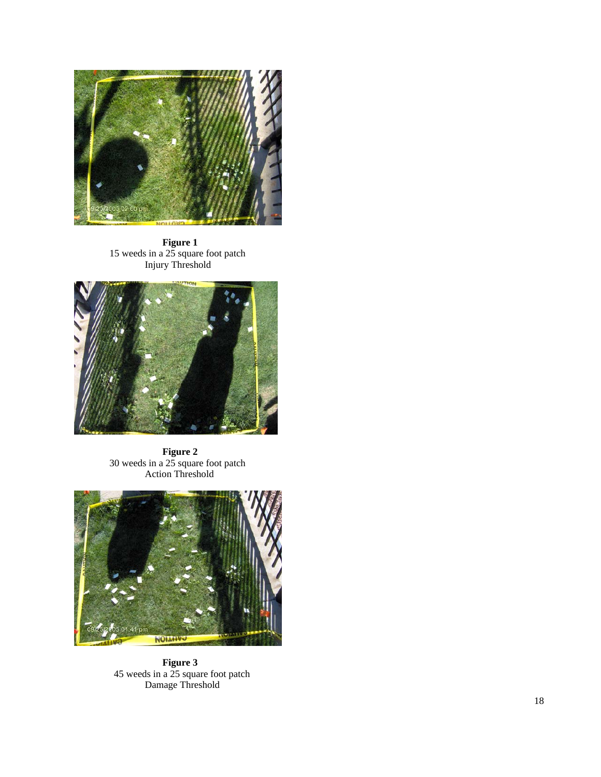

**Figure 1**  15 weeds in a 25 square foot patch Injury Threshold



**Figure 2**  30 weeds in a 25 square foot patch Action Threshold



**Figure 3**  45 weeds in a 25 square foot patch Damage Threshold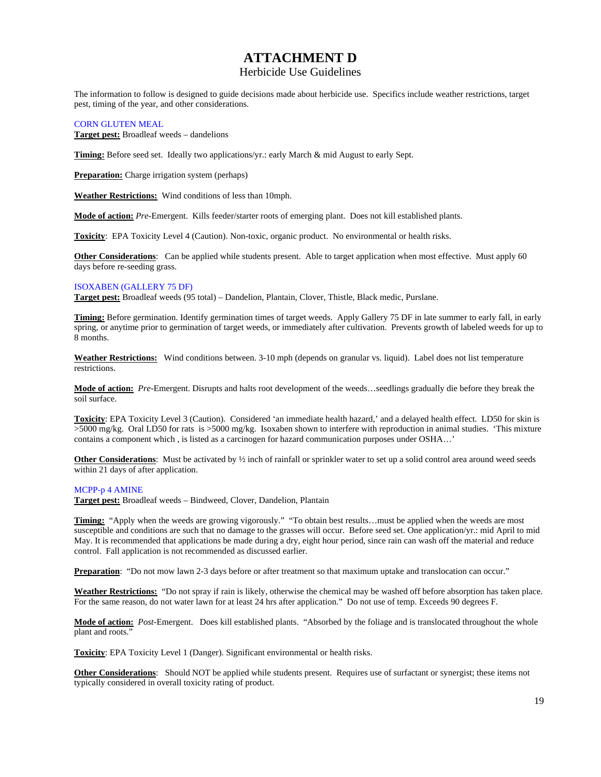### **ATTACHMENT D**

#### Herbicide Use Guidelines

The information to follow is designed to guide decisions made about herbicide use. Specifics include weather restrictions, target pest, timing of the year, and other considerations.

#### CORN GLUTEN MEAL

**Target pest:** Broadleaf weeds – dandelions

**Timing:** Before seed set. Ideally two applications/yr.: early March & mid August to early Sept.

**Preparation:** Charge irrigation system (perhaps)

**Weather Restrictions:** Wind conditions of less than 10mph.

**Mode of action:** *Pre*-Emergent. Kills feeder/starter roots of emerging plant. Does not kill established plants.

**Toxicity**: EPA Toxicity Level 4 (Caution). Non-toxic, organic product. No environmental or health risks.

**Other Considerations**: Can be applied while students present. Able to target application when most effective. Must apply 60 days before re-seeding grass.

#### ISOXABEN (GALLERY 75 DF)

**Target pest:** Broadleaf weeds (95 total) – Dandelion, Plantain, Clover, Thistle, Black medic, Purslane.

**Timing:** Before germination. Identify germination times of target weeds. Apply Gallery 75 DF in late summer to early fall, in early spring, or anytime prior to germination of target weeds, or immediately after cultivation. Prevents growth of labeled weeds for up to 8 months.

**Weather Restrictions:** Wind conditions between. 3-10 mph (depends on granular vs. liquid). Label does not list temperature restrictions.

**Mode of action:** *Pre-*Emergent. Disrupts and halts root development of the weeds…seedlings gradually die before they break the soil surface.

**Toxicity**: EPA Toxicity Level 3 (Caution). Considered 'an immediate health hazard,' and a delayed health effect. LD50 for skin is >5000 mg/kg. Oral LD50 for rats is >5000 mg/kg. Isoxaben shown to interfere with reproduction in animal studies. 'This mixture contains a component which , is listed as a carcinogen for hazard communication purposes under OSHA…'

**Other Considerations**: Must be activated by  $\frac{1}{2}$  inch of rainfall or sprinkler water to set up a solid control area around weed seeds within 21 days of after application.

#### MCPP-p 4 AMINE

**Target pest:** Broadleaf weeds – Bindweed, Clover, Dandelion, Plantain

**Timing:** "Apply when the weeds are growing vigorously." "To obtain best results...must be applied when the weeds are most susceptible and conditions are such that no damage to the grasses will occur. Before seed set. One application/yr.: mid April to mid May. It is recommended that applications be made during a dry, eight hour period, since rain can wash off the material and reduce control. Fall application is not recommended as discussed earlier.

**Preparation**: "Do not mow lawn 2-3 days before or after treatment so that maximum uptake and translocation can occur."

**Weather Restrictions:** "Do not spray if rain is likely, otherwise the chemical may be washed off before absorption has taken place. For the same reason, do not water lawn for at least 24 hrs after application." Do not use of temp. Exceeds 90 degrees F.

**Mode of action:** *Post*-Emergent. Does kill established plants. "Absorbed by the foliage and is translocated throughout the whole plant and roots.'

**Toxicity**: EPA Toxicity Level 1 (Danger). Significant environmental or health risks.

**Other Considerations**: Should NOT be applied while students present. Requires use of surfactant or synergist; these items not typically considered in overall toxicity rating of product.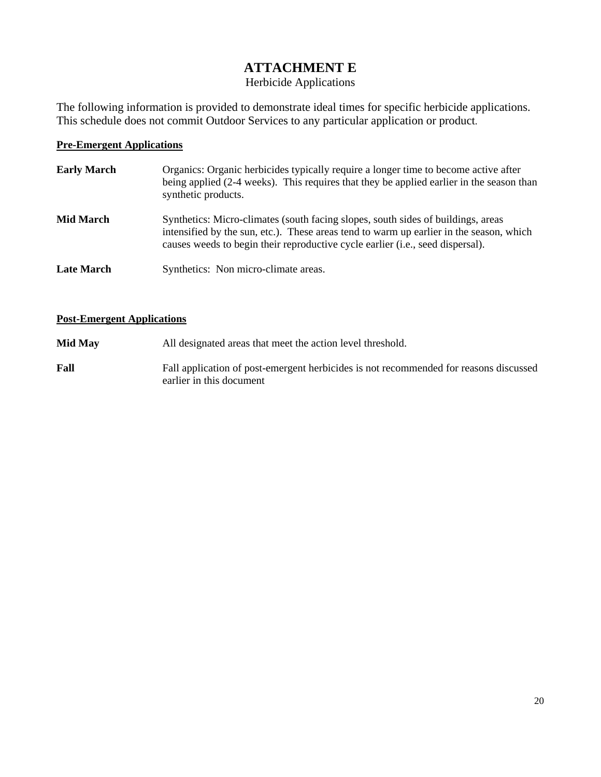## **ATTACHMENT E**

### Herbicide Applications

The following information is provided to demonstrate ideal times for specific herbicide applications. This schedule does not commit Outdoor Services to any particular application or product.

#### **Pre-Emergent Applications**

| <b>Early March</b> | Organics: Organic herbicides typically require a longer time to become active after<br>being applied (2-4 weeks). This requires that they be applied earlier in the season than<br>synthetic products.                                                                 |  |  |  |
|--------------------|------------------------------------------------------------------------------------------------------------------------------------------------------------------------------------------------------------------------------------------------------------------------|--|--|--|
| <b>Mid March</b>   | Synthetics: Micro-climates (south facing slopes, south sides of buildings, areas<br>intensified by the sun, etc.). These areas tend to warm up earlier in the season, which<br>causes weeds to begin their reproductive cycle earlier ( <i>i.e.</i> , seed dispersal). |  |  |  |
| <b>Late March</b>  | Synthetics: Non micro-climate areas.                                                                                                                                                                                                                                   |  |  |  |

#### **Post-Emergent Applications**

| <b>Mid May</b> | All designated areas that meet the action level threshold.                                                        |  |  |
|----------------|-------------------------------------------------------------------------------------------------------------------|--|--|
| Fall           | Fall application of post-emergent herbicides is not recommended for reasons discussed<br>earlier in this document |  |  |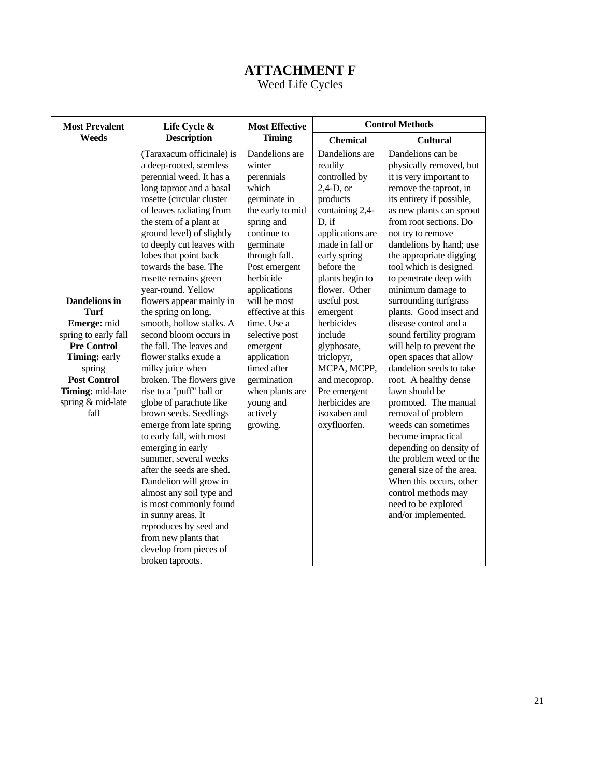# **ATTACHMENT F**

Weed Life Cycles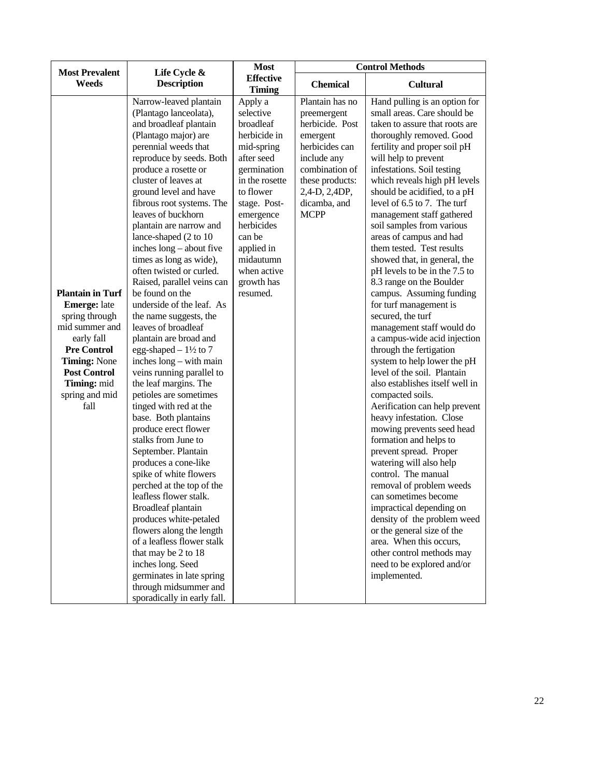| <b>Most Prevalent</b><br>Weeds                                                                                                                                                                         | Life Cycle &<br><b>Description</b>                                                                                                                                                                                                                                                                                                                                                                                                                                                                                                                                                                                                                                                                                                                                                                                                                                                                                                                                                                                                                                                                                                                                                                           | <b>Control Methods</b><br><b>Most</b>                                                                                                                                                                                                                |                                                                                                                                                                                     |                                                                                                                                                                                                                                                                                                                                                                                                                                                                                                                                                                                                                                                                                                                                                                                                                                                                                                                                                                                                                                                                                                                                                                                                                                                                           |
|--------------------------------------------------------------------------------------------------------------------------------------------------------------------------------------------------------|--------------------------------------------------------------------------------------------------------------------------------------------------------------------------------------------------------------------------------------------------------------------------------------------------------------------------------------------------------------------------------------------------------------------------------------------------------------------------------------------------------------------------------------------------------------------------------------------------------------------------------------------------------------------------------------------------------------------------------------------------------------------------------------------------------------------------------------------------------------------------------------------------------------------------------------------------------------------------------------------------------------------------------------------------------------------------------------------------------------------------------------------------------------------------------------------------------------|------------------------------------------------------------------------------------------------------------------------------------------------------------------------------------------------------------------------------------------------------|-------------------------------------------------------------------------------------------------------------------------------------------------------------------------------------|---------------------------------------------------------------------------------------------------------------------------------------------------------------------------------------------------------------------------------------------------------------------------------------------------------------------------------------------------------------------------------------------------------------------------------------------------------------------------------------------------------------------------------------------------------------------------------------------------------------------------------------------------------------------------------------------------------------------------------------------------------------------------------------------------------------------------------------------------------------------------------------------------------------------------------------------------------------------------------------------------------------------------------------------------------------------------------------------------------------------------------------------------------------------------------------------------------------------------------------------------------------------------|
|                                                                                                                                                                                                        |                                                                                                                                                                                                                                                                                                                                                                                                                                                                                                                                                                                                                                                                                                                                                                                                                                                                                                                                                                                                                                                                                                                                                                                                              | <b>Effective</b><br><b>Timing</b>                                                                                                                                                                                                                    | <b>Chemical</b>                                                                                                                                                                     | Cultural                                                                                                                                                                                                                                                                                                                                                                                                                                                                                                                                                                                                                                                                                                                                                                                                                                                                                                                                                                                                                                                                                                                                                                                                                                                                  |
| <b>Plantain in Turf</b><br><b>Emerge:</b> late<br>spring through<br>mid summer and<br>early fall<br><b>Pre Control</b><br>Timing: None<br><b>Post Control</b><br>Timing: mid<br>spring and mid<br>fall | Narrow-leaved plantain<br>(Plantago lanceolata),<br>and broadleaf plantain<br>(Plantago major) are<br>perennial weeds that<br>reproduce by seeds. Both<br>produce a rosette or<br>cluster of leaves at<br>ground level and have<br>fibrous root systems. The<br>leaves of buckhorn<br>plantain are narrow and<br>lance-shaped (2 to 10<br>inches long – about five<br>times as long as wide),<br>often twisted or curled.<br>Raised, parallel veins can<br>be found on the<br>underside of the leaf. As<br>the name suggests, the<br>leaves of broadleaf<br>plantain are broad and<br>egg-shaped $-1\frac{1}{2}$ to 7<br>inches long – with main<br>veins running parallel to<br>the leaf margins. The<br>petioles are sometimes<br>tinged with red at the<br>base. Both plantains<br>produce erect flower<br>stalks from June to<br>September. Plantain<br>produces a cone-like<br>spike of white flowers<br>perched at the top of the<br>leafless flower stalk.<br>Broadleaf plantain<br>produces white-petaled<br>flowers along the length<br>of a leafless flower stalk<br>that may be 2 to 18<br>inches long. Seed<br>germinates in late spring<br>through midsummer and<br>sporadically in early fall. | Apply a<br>selective<br>broadleaf<br>herbicide in<br>mid-spring<br>after seed<br>germination<br>in the rosette<br>to flower<br>stage. Post-<br>emergence<br>herbicides<br>can be<br>applied in<br>midautumn<br>when active<br>growth has<br>resumed. | Plantain has no<br>preemergent<br>herbicide. Post<br>emergent<br>herbicides can<br>include any<br>combination of<br>these products:<br>2,4-D, 2,4DP,<br>dicamba, and<br><b>MCPP</b> | Hand pulling is an option for<br>small areas. Care should be<br>taken to assure that roots are<br>thoroughly removed. Good<br>fertility and proper soil pH<br>will help to prevent<br>infestations. Soil testing<br>which reveals high pH levels<br>should be acidified, to a pH<br>level of 6.5 to 7. The turf<br>management staff gathered<br>soil samples from various<br>areas of campus and had<br>them tested. Test results<br>showed that, in general, the<br>pH levels to be in the 7.5 to<br>8.3 range on the Boulder<br>campus. Assuming funding<br>for turf management is<br>secured, the turf<br>management staff would do<br>a campus-wide acid injection<br>through the fertigation<br>system to help lower the pH<br>level of the soil. Plantain<br>also establishes itself well in<br>compacted soils.<br>Aerification can help prevent<br>heavy infestation. Close<br>mowing prevents seed head<br>formation and helps to<br>prevent spread. Proper<br>watering will also help<br>control. The manual<br>removal of problem weeds<br>can sometimes become<br>impractical depending on<br>density of the problem weed<br>or the general size of the<br>area. When this occurs,<br>other control methods may<br>need to be explored and/or<br>implemented. |